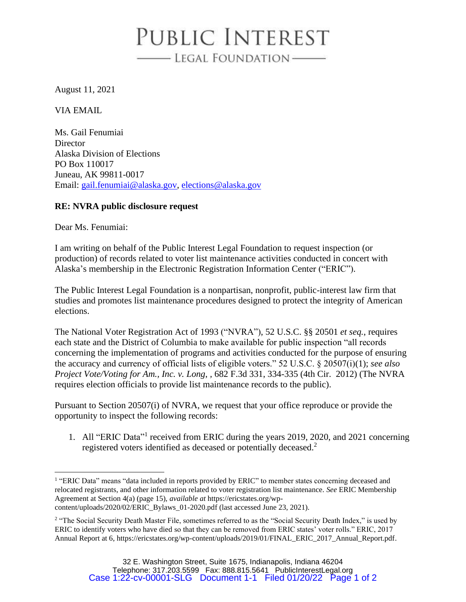## PUBLIC INTEREST - LEGAL FOUNDATION

August 11, 2021

VIA EMAIL

Ms. Gail Fenumiai **Director** Alaska Division of Elections PO Box 110017 Juneau, AK 99811-0017 Email: [gail.fenumiai@alaska.gov,](mailto:gail.fenumiai@alaska.gov) [elections@alaska.gov](mailto:elections@alaska.gov)

## **RE: NVRA public disclosure request**

Dear Ms. Fenumiai:

I am writing on behalf of the Public Interest Legal Foundation to request inspection (or production) of records related to voter list maintenance activities conducted in concert with Alaska's membership in the Electronic Registration Information Center ("ERIC").

The Public Interest Legal Foundation is a nonpartisan, nonprofit, public-interest law firm that studies and promotes list maintenance procedures designed to protect the integrity of American elections.

The National Voter Registration Act of 1993 ("NVRA"), 52 U.S.C. §§ 20501 *et seq.*, requires each state and the District of Columbia to make available for public inspection "all records concerning the implementation of programs and activities conducted for the purpose of ensuring the accuracy and currency of official lists of eligible voters." 52 U.S.C. § 20507(i)(1); *see also Project Vote/Voting for Am., Inc. v. Long*, *,* 682 F.3d 331, 334-335 (4th Cir. 2012) (The NVRA requires election officials to provide list maintenance records to the public).

Pursuant to Section 20507(i) of NVRA, we request that your office reproduce or provide the opportunity to inspect the following records:

1. All "ERIC Data"<sup>1</sup> received from ERIC during the years 2019, 2020, and 2021 concerning registered voters identified as deceased or potentially deceased.<sup>2</sup>

<sup>&</sup>lt;sup>1</sup> "ERIC Data" means "data included in reports provided by ERIC" to member states concerning deceased and relocated registrants, and other information related to voter registration list maintenance. *See* ERIC Membership Agreement at Section 4(a) (page 15), *available at* https://ericstates.org/wpcontent/uploads/2020/02/ERIC\_Bylaws\_01-2020.pdf (last accessed June 23, 2021).

<sup>&</sup>lt;sup>2</sup> "The Social Security Death Master File, sometimes referred to as the "Social Security Death Index," is used by ERIC to identify voters who have died so that they can be removed from ERIC states' voter rolls." ERIC, 2017 Annual Report at 6, https://ericstates.org/wp-content/uploads/2019/01/FINAL\_ERIC\_2017\_Annual\_Report.pdf.